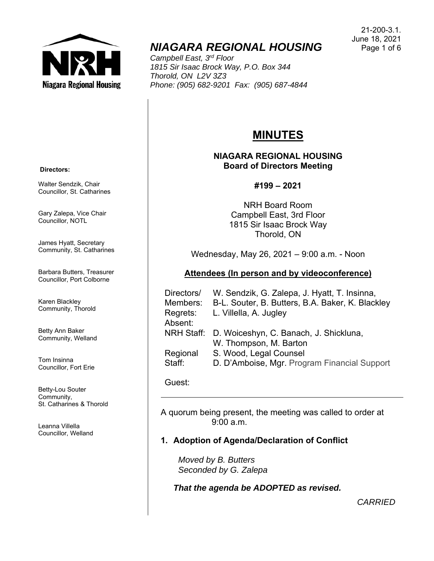

# *NIAGARA REGIONAL HOUSING*

*Campbell East, 3rd Floor 1815 Sir Isaac Brock Way, P.O. Box 344 Thorold, ON L2V 3Z3 Phone: (905) 682-9201 Fax: (905) 687-4844* 

#### 21-200-3.1. June 18, 2021 Page 1 of 6

# **MINUTES**

## **NIAGARA REGIONAL HOUSING Board of Directors Meeting**

## **#199 – 2021**

NRH Board Room Campbell East, 3rd Floor 1815 Sir Isaac Brock Way Thorold, ON

Wednesday, May 26, 2021 – 9:00 a.m. - Noon

# **Attendees (In person and by videoconference)**

| Directors/ | W. Sendzik, G. Zalepa, J. Hyatt, T. Insinna,      |
|------------|---------------------------------------------------|
| Members:   | B-L. Souter, B. Butters, B.A. Baker, K. Blackley  |
| Regrets:   | L. Villella, A. Jugley                            |
| Absent:    |                                                   |
|            | NRH Staff: D. Woiceshyn, C. Banach, J. Shickluna, |
|            | W. Thompson, M. Barton                            |
| Regional   | S. Wood, Legal Counsel                            |
| Staff:     | D. D'Amboise, Mgr. Program Financial Support      |

#### Guest:

A quorum being present, the meeting was called to order at  $9.00 a m$ 

# **1. Adoption of Agenda/Declaration of Conflict**

 *Moved by B. Butters Seconded by G. Zalepa* 

*That the agenda be ADOPTED as revised.* 

*CARRIED*

#### **Directors:**

Walter Sendzik, Chair Councillor, St. Catharines

Gary Zalepa, Vice Chair Councillor, NOTL

James Hyatt, Secretary Community, St. Catharines

Barbara Butters, Treasurer Councillor, Port Colborne

Karen Blackley Community, Thorold

Betty Ann Baker Community, Welland

Tom Insinna Councillor, Fort Erie

Betty-Lou Souter Community, St. Catharines & Thorold

Leanna Villella Councillor, Welland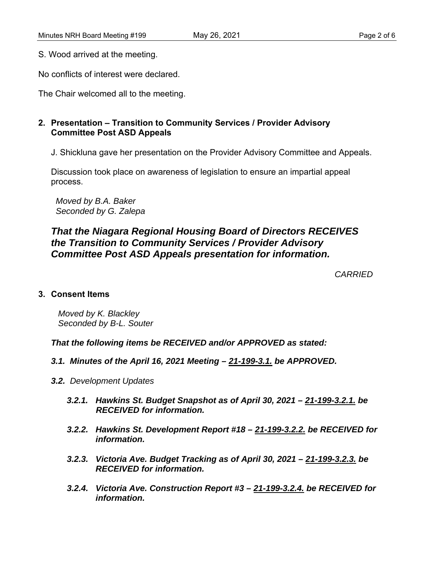S. Wood arrived at the meeting.

No conflicts of interest were declared.

The Chair welcomed all to the meeting.

# **2. Presentation – Transition to Community Services / Provider Advisory Committee Post ASD Appeals**

J. Shickluna gave her presentation on the Provider Advisory Committee and Appeals.

 Discussion took place on awareness of legislation to ensure an impartial appeal process.

 *Moved by B.A. Baker Seconded by G. Zalepa* 

# *That the Niagara Regional Housing Board of Directors RECEIVES the Transition to Community Services / Provider Advisory Committee Post ASD Appeals presentation for information.*

*CARRIED*

#### **3. Consent Items**

*Moved by K. Blackley Seconded by B-L. Souter* 

*That the following items be RECEIVED and/or APPROVED as stated:* 

- *3.1. Minutes of the April 16, 2021 Meeting 21-199-3.1. be APPROVED.*
- *3.2. Development Updates* 
	- *3.2.1. Hawkins St. Budget Snapshot as of April 30, 2021 21-199-3.2.1. be RECEIVED for information.*
	- *3.2.2. Hawkins St. Development Report #18 21-199-3.2.2. be RECEIVED for information.*
	- *3.2.3. Victoria Ave. Budget Tracking as of April 30, 2021 21-199-3.2.3. be RECEIVED for information.*
	- *3.2.4. Victoria Ave. Construction Report #3 21-199-3.2.4. be RECEIVED for information.*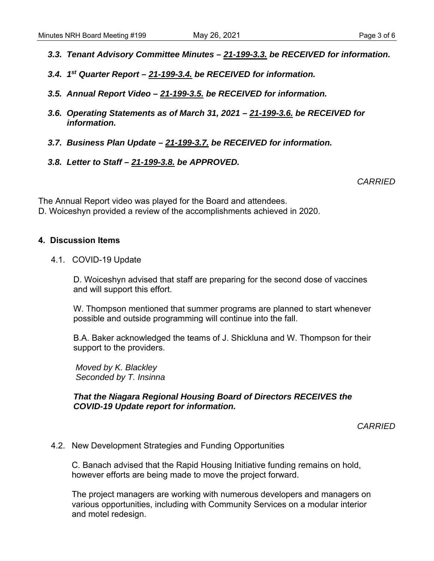- 
- *3.3. Tenant Advisory Committee Minutes 21-199-3.3. be RECEIVED for information.*
- *3.4. 1st Quarter Report 21-199-3.4. be RECEIVED for information.*
- *3.5. Annual Report Video 21-199-3.5. be RECEIVED for information.*
- *3.6. Operating Statements as of March 31, 2021 21-199-3.6. be RECEIVED for information.*
- *3.7. Business Plan Update 21-199-3.7. be RECEIVED for information.*
- *3.8. Letter to Staff 21-199-3.8. be APPROVED.*

*CARRIED* 

The Annual Report video was played for the Board and attendees. D. Woiceshyn provided a review of the accomplishments achieved in 2020.

#### **4. Discussion Items**

4.1. COVID-19 Update

D. Woiceshyn advised that staff are preparing for the second dose of vaccines and will support this effort.

W. Thompson mentioned that summer programs are planned to start whenever possible and outside programming will continue into the fall.

B.A. Baker acknowledged the teams of J. Shickluna and W. Thompson for their support to the providers.

 *Moved by K. Blackley Seconded by T. Insinna* 

*That the Niagara Regional Housing Board of Directors RECEIVES the COVID-19 Update report for information.* 

*CARRIED* 

4.2. New Development Strategies and Funding Opportunities

 C. Banach advised that the Rapid Housing Initiative funding remains on hold, however efforts are being made to move the project forward.

 The project managers are working with numerous developers and managers on various opportunities, including with Community Services on a modular interior and motel redesign.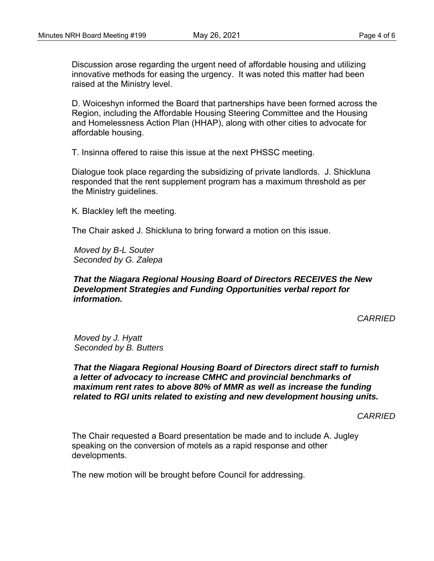Discussion arose regarding the urgent need of affordable housing and utilizing innovative methods for easing the urgency. It was noted this matter had been raised at the Ministry level.

 D. Woiceshyn informed the Board that partnerships have been formed across the Region, including the Affordable Housing Steering Committee and the Housing and Homelessness Action Plan (HHAP), along with other cities to advocate for affordable housing.

T. Insinna offered to raise this issue at the next PHSSC meeting.

 Dialogue took place regarding the subsidizing of private landlords. J. Shickluna responded that the rent supplement program has a maximum threshold as per the Ministry guidelines.

K. Blackley left the meeting.

The Chair asked J. Shickluna to bring forward a motion on this issue.

 *Moved by B-L Souter Seconded by G. Zalepa* 

#### *That the Niagara Regional Housing Board of Directors RECEIVES the New Development Strategies and Funding Opportunities verbal report for information.*

*CARRIED* 

 *Moved by J. Hyatt Seconded by B. Butters* 

*That the Niagara Regional Housing Board of Directors direct staff to furnish a letter of advocacy to increase CMHC and provincial benchmarks of maximum rent rates to above 80% of MMR as well as increase the funding related to RGI units related to existing and new development housing units.* 

*CARRIED* 

 The Chair requested a Board presentation be made and to include A. Jugley speaking on the conversion of motels as a rapid response and other developments.

The new motion will be brought before Council for addressing.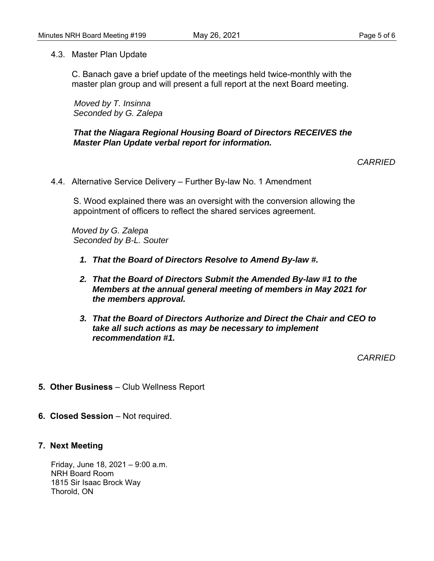4.3. Master Plan Update

 C. Banach gave a brief update of the meetings held twice-monthly with the master plan group and will present a full report at the next Board meeting.

 *Moved by T. Insinna Seconded by G. Zalepa* 

#### *That the Niagara Regional Housing Board of Directors RECEIVES the Master Plan Update verbal report for information.*

*CARRIED* 

4.4. Alternative Service Delivery – Further By-law No. 1 Amendment

S. Wood explained there was an oversight with the conversion allowing the appointment of officers to reflect the shared services agreement.

*Moved by G. Zalepa Seconded by B-L. Souter* 

- *1. That the Board of Directors Resolve to Amend By-law #.*
- *2. That the Board of Directors Submit the Amended By-law #1 to the Members at the annual general meeting of members in May 2021 for the members approval.*
- *3. That the Board of Directors Authorize and Direct the Chair and CEO to take all such actions as may be necessary to implement recommendation #1.*

*CARRIED* 

- **5. Other Business** Club Wellness Report
- **6. Closed Session** Not required.

#### **7. Next Meeting**

Friday, June 18, 2021 – 9:00 a.m. NRH Board Room 1815 Sir Isaac Brock Way Thorold, ON